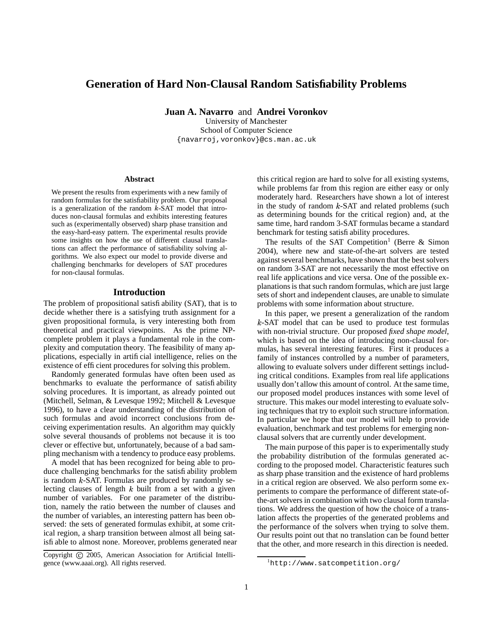# **Generation of Hard Non-Clausal Random Satisfiability Problems**

**Juan A. Navarro** and **Andrei Voronkov**

University of Manchester School of Computer Science {navarroj,voronkov}@cs.man.ac.uk

#### **Abstract**

We present the results from experiments with a new family of random formulas for the satisfiability problem. Our proposal is a generalization of the random  $k$ -SAT model that introduces non-clausal formulas and exhibits interesting features such as (experimentally observed) sharp phase transition and the easy-hard-easy pattern. The experimental results provide some insights on how the use of different clausal translations can affect the performance of satisfiability solving algorithms. We also expect our model to provide diverse and challenging benchmarks for developers of SAT procedures for non-clausal formulas.

## **Introduction**

The problem of propositional satisfiability (SAT), that is to decide whether there is a satisfying truth assignment for a given propositional formula, is very interesting both from theoretical and practical viewpoints. As the prime NPcomplete problem it plays a fundamental role in the complexity and computation theory. The feasibility of many applications, especially in artificial intelligence, relies on the existence of efficient procedures for solving this problem.

Randomly generated formulas have often been used as benchmarks to evaluate the performance of satisfiability solving procedures. It is important, as already pointed out (Mitchell, Selman, & Levesque 1992; Mitchell & Levesque 1996), to have a clear understanding of the distribution of such formulas and avoid incorrect conclusions from deceiving experimentation results. An algorithm may quickly solve several thousands of problems not because it is too clever or effective but, unfortunately, because of a bad sampling mechanism with a tendency to produce easy problems.

A model that has been recognized for being able to produce challenging benchmarks for the satisfiability problem is random  $k$ -SAT. Formulas are produced by randomly selecting clauses of length  $k$  built from a set with a given number of variables. For one parameter of the distribution, namely the ratio between the number of clauses and the number of variables, an interesting pattern has been observed: the sets of generated formulas exhibit, at some critical region, a sharp transition between almost all being satisfiable to almost none. Moreover, problems generated near

this critical region are hard to solve for all existing systems, while problems far from this region are either easy or only moderately hard. Researchers have shown a lot of interest in the study of random  $k$ -SAT and related problems (such as determining bounds for the critical region) and, at the same time, hard random 3-SAT formulas became a standard benchmark for testing satisfiability procedures.

The results of the SAT Competition<sup>1</sup> (Berre & Simon 2004), where new and state-of-the-art solvers are tested against several benchmarks, have shown that the best solvers on random 3-SAT are not necessarily the most effective on real life applications and vice versa. One of the possible explanationsis that such random formulas, which are just large sets of short and independent clauses, are unable to simulate problems with some information about structure.

In this paper, we present a generalization of the random  $k$ -SAT model that can be used to produce test formulas with non-trivial structure. Our proposed *fixed shape model*, which is based on the idea of introducing non-clausal formulas, has several interesting features. First it produces a family of instances controlled by a number of parameters, allowing to evaluate solvers under different settings including critical conditions. Examples from real life applications usually don't allow this amount of control. At the same time, our proposed model produces instances with some level of structure. This makes our model interesting to evaluate solving techniques that try to exploit such structure information. In particular we hope that our model will help to provide evaluation, benchmark and test problems for emerging nonclausal solvers that are currently under development.

The main purpose of this paper is to experimentally study the probability distribution of the formulas generated according to the proposed model. Characteristic features such as sharp phase transition and the existence of hard problems in a critical region are observed. We also perform some experiments to compare the performance of different state-ofthe-art solvers in combination with two clausal form translations. We address the question of how the choice of a translation affects the properties of the generated problems and the performance of the solvers when trying to solve them. Our results point out that no translation can be found better that the other, and more research in this direction is needed.

Copyright © 2005, American Association for Artificial Intelligence (www.aaai.org). All rights reserved.

<sup>1</sup>http://www.satcompetition.org/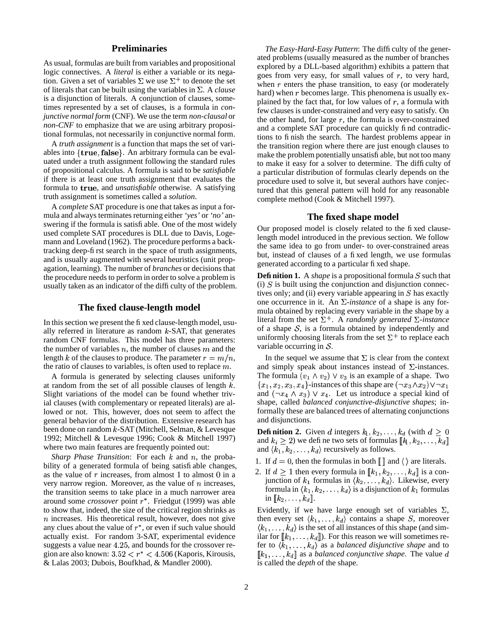## **Preliminaries**

As usual, formulas are built from variables and propositional logic connectives. A *literal* is either a variable or its negation. Given a set of variables  $\Sigma$  we use  $\Sigma^+$  to denote the set of literals that can be built using the variables in  $\Sigma$ . A *clause* is a disjunction of literals. A conjunction of clauses, sometimes represented by a set of clauses, is a formula in *conjunctive normal form* (CNF). We use the term *non-clausal* or *non-CNF* to emphasize that we are using arbitrary propositional formulas, not necessarily in conjunctive normal form.

A *truth assignment* is a function that maps the set of variables into  $\{true, false\}$ . An arbitrary formula can be evaluated under a truth assignment following the standard rules of propositional calculus. A formula is said to be *satisfiable* if there is at least one truth assignment that evaluates the formula to true, and *unsatisfiable* otherwise. A satisfying truth assignment is sometimes called a *solution*.

A *complete* SAT procedure is one that takes as input a formula and always terminates returning either *'yes'* or *'no'* answering if the formula is satisfiable. One of the most widely used complete SAT procedures is DLL due to Davis, Logemann and Loveland (1962). The procedure performs a backtracking deep-first search in the space of truth assignments, and is usually augmented with several heuristics (unit propagation, learning). The number of *branches* or decisions that the procedure needs to perform in order to solve a problem is usually taken as an indicator of the difficulty of the problem.

#### **The fixed clause-length model**

In this section we present the fixed clause-length model, usually referred in literature as random  $k$ -SAT, that generates random CNF formulas. This model has three parameters: the number of variables  $n$ , the number of clauses  $m$  and the length k of the clauses to produce. The parameter  $r = m/n$ , the ratio of clauses to variables, is often used to replace  $m$ .

A formula is generated by selecting clauses uniformly at random from the set of all possible clauses of length  $k$ . Slight variations of the model can be found whether trivial clauses (with complementary or repeated literals) are allowed or not. This, however, does not seem to affect the general behavior of the distribution. Extensive research has been done on random  $k$ -SAT (Mitchell, Selman,  $&$  Levesque 1992; Mitchell & Levesque 1996; Cook & Mitchell 1997) where two main features are frequently pointed out:

*Sharp Phase Transition*: For each  $k$  and  $n$ , the probability of a generated formula of being satisfiable changes, as the value of  $r$  increases, from almost 1 to almost 0 in a very narrow region. Moreover, as the value of  $n$  increases, the transition seems to take place in a much narrower area around some *crossover* point  $r^*$ . Friedgut (1999) was able to show that, indeed, the size of the critical region shrinks as  $n$  increases. His theoretical result, however, does not give any clues about the value of  $r^*$ , or even if such value should actually exist. For random 3-SAT, experimental evidence suggests a value near 4.25, and bounds for the crossover region are also known:  $3.52 < r^* < 4.506$  (Kaporis, Kirousis, & Lalas 2003; Dubois, Boufkhad, & Mandler 2000).

*The Easy-Hard-Easy Pattern*: The difficulty of the generated problems (usually measured as the number of branches explored by a DLL-based algorithm) exhibits a pattern that goes from very easy, for small values of  $r$ , to very hard, when  $r$  enters the phase transition, to easy (or moderately hard) when  $r$  becomes large. This phenomena is usually explained by the fact that, for low values of  $r$ , a formula with few clauses is under-constrained and very easy to satisfy. On the other hand, for large  $r$ , the formula is over-constrained and a complete SAT procedure can quickly find contradictions to finish the search. The hardest problems appear in the transition region where there are just enough clauses to make the problem potentially unsatisfiable, but not too many to make it easy for a solver to determine. The difficulty of a particular distribution of formulas clearly depends on the procedure used to solve it, but several authors have conjectured that this general pattern will hold for any reasonable complete method (Cook & Mitchell 1997).

#### **The fixed shape model**

Our proposed model is closely related to the fixed clauselength model introduced in the previous section. We follow the same idea to go from under- to over-constrained areas but, instead of clauses of a fixed length, we use formulas generated according to a particular fixed shape.

**Definition 1.** A *shape* is a propositional formula S such that (i)  $S$  is built using the conjunction and disjunction connectives only; and (ii) every variable appearing in  $S$  has exactly one occurrence in it. An  $\Sigma$ -*instance* of a shape is any formula obtained by replacing every variable in the shape by a literal from the set  $\Sigma^+$ . A *randomly generated*  $\Sigma$ -instance of a shape  $S$ , is a formula obtained by independently and uniformly choosing literals from the set  $\Sigma^+$  to replace each variable occurring in  $S$ .

In the sequel we assume that  $\Sigma$  is clear from the context and simply speak about instances instead of  $\Sigma$ -instances. The formula  $(v_1 \wedge v_2) \vee v_3$  is an example of a shape. Two  $\{x_1, x_2, x_3, x_4\}$ -instances of this shape are  $(\neg x_3 \land x_2) \lor \neg x_1$ and  $(\neg x_4 \land x_3) \lor x_4$ . Let us introduce a special kind of shape, called *balanced conjunctive-disjunctive shapes*; informally these are balanced trees of alternating conjunctions and disjunctions.

**Definition 2.** Given d integers  $k_1, k_2, \ldots, k_d$  (with  $d \geq 0$ and  $k_i \geq 2$ ) we define two sets of formulas  $\llbracket k_1, k_2, \ldots, k_d \rrbracket$ and  $\langle k_1, k_2, \ldots, k_d \rangle$  recursively as follows.

- 1. If  $d = 0$ , then the formulas in both  $\llbracket \ \rrbracket$  and  $\langle \ \rangle$  are literals.
- 2. If  $d \ge 1$  then every formula in  $\llbracket k_1, k_2, \ldots, k_d \rrbracket$  is a conjunction of  $k_1$  formulas in  $\langle k_2, \ldots, k_d \rangle$ . Likewise, every formula in  $\langle k_1, k_2, \ldots, k_d \rangle$  is a disjunction of  $k_1$  formulas in  $[[k_2,\ldots,k_d]].$

Evidently, if we have large enough set of variables  $\Sigma$ , then every set  $\langle k_1, \ldots, k_d \rangle$  contains a shape S, moreover  $\langle k_1, \ldots, k_d \rangle$  is the set of all instances of this shape (and similar for  $\llbracket k_1, \ldots, k_d \rrbracket$ ). For this reason we will sometimes refer to  $\langle \overline{k}_1, \ldots, k_d \rangle$  as a *balanced disjunctive shape* and to  $\llbracket k_1, \ldots, k_d \rrbracket$  as a *balanced conjunctive shape*. The value d is called the *depth* of the shape.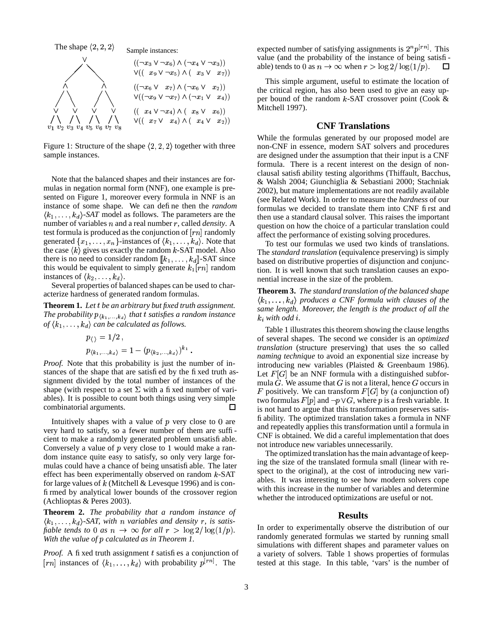

Figure 1: Structure of the shape  $(2, 2, 2)$  together with three sample instances.

Note that the balanced shapes and their instances are formulas in negation normal form (NNF), one example is presented on Figure 1, moreover every formula in NNF is an instance of some shape. We can define then the *random*  $\langle k_1, \ldots, k_d \rangle$ -SAT model as follows. The parameters are the number of variables  $n$  and a real number  $r$ , called *density*. A test formula is produced as the conjunction of  $[rn]$  randomly generated  $\{x_1, \ldots, x_n\}$ -instances of  $\langle k_1, \ldots, k_d \rangle$ . Note that the case  $\langle k \rangle$  gives us exactly the random k-SAT model. Also there is no need to consider random  $[[k_1, \ldots, k_d]]$ -SAT since this would be equivalent to simply generate  $k_1[rn]$  random instances of  $\langle k_2,\ldots,k_d\rangle$ .

Several properties of balanced shapes can be used to characterize hardness of generated random formulas.

Theorem 1. Let t be an arbitrary but fixed truth assignment. The probability  $p_{\langle k_1,...,k_d\rangle}$  that t satisfies a random instance of  $\langle k_1, \ldots, k_d \rangle$  can be calculated as follows.

$$
p_{\langle\rangle} = 1/2
$$
,  
\n $p_{\langle k_1,...,k_d\rangle} = 1 - (p_{\langle k_2,...,k_d\rangle})^{k_1}$ .

*Proof.* Note that this probability is just the number of instances of the shape that are satisfied by the fixed truth assignment divided by the total number of instances of the shape (with respect to a set  $\Sigma$  with a fi xed number of variables). It is possible to count both things using very simple combinatorial arguments. □

Intuitively shapes with a value of  $p$  very close to  $0$  are very hard to satisfy, so a fewer number of them are sufficient to make a randomly generated problem unsatisfi able. Conversely a value of  $p$  very close to 1 would make a random instance quite easy to satisfy, so only very large formulas could have a chance of being unsatisfi able. The later effect has been experimentally observed on random  $k$ -SAT for large values of  $k$  (Mitchell & Levesque 1996) and is confirmed by analytical lower bounds of the crossover region (Achlioptas & Peres 2003).

**Theorem 2.** The probability that a random instance of  $\langle k_1,\ldots,k_d\rangle$ -SAT, with n variables and density r, is satisfiable tends to 0 as  $n \to \infty$  for all  $r > \log 2/\log(1/p)$ . With the value of p calculated as in Theorem 1.

Proof. A fi xed truth assignment  $t$  satisfies a conjunction of [rn] instances of  $\langle k_1,\ldots,k_d\rangle$  with probability  $p^{[rn]}$ . The

expected number of satisfying assignments is  $2^n p^{[rn]}$ . This value (and the probability of the instance of being satisfiable) tends to 0 as  $n \to \infty$  when  $r > \log 2/\log(1/p)$ .  $\Box$ 

This simple argument, useful to estimate the location of the critical region, has also been used to give an easy upper bound of the random  $k$ -SAT crossover point (Cook & Mitchell 1997).

## **CNF** Translations

While the formulas generated by our proposed model are non-CNF in essence, modern SAT solvers and procedures are designed under the assumption that their input is a CNF formula. There is a recent interest on the design of nonclausal satisfi ability testing algorithms (Thiffault, Bacchus, & Walsh 2004; Giunchiglia & Sebastiani 2000; Stachniak 2002), but mature implementations are not readily available (see Related Work). In order to measure the *hardness* of our formulas we decided to translate them into CNF first and then use a standard clausal solver. This raises the important question on how the choice of a particular translation could affect the performance of existing solving procedures.

To test our formulas we used two kinds of translations. The *standard translation* (equivalence preserving) is simply based on distributive properties of disjunction and conjunction. It is well known that such translation causes an exponential increase in the size of the problem.

**Theorem 3.** The standard translation of the balanced shape  $\langle k_1,\ldots,k_d\rangle$  produces a CNF formula with clauses of the same length. Moreover, the length is the product of all the  $k_i$  with odd  $i$ .

Table 1 illustrates this theorem showing the clause lengths of several shapes. The second we consider is an *optimized translation* (structure preserving) that uses the so called *naming technique* to avoid an exponential size increase by introducing new variables (Plaisted  $\&$  Greenbaum 1986). Let  $F[G]$  be an NNF formula with a distinguished subformula  $G$ . We assume that  $G$  is not a literal, hence  $G$  occurs in F positively. We can transform  $F[G]$  by (a conjunction of) two formulas  $F[p]$  and  $\neg p \lor G$ , where p is a fresh variable. It is not hard to argue that this transformation preserves satisfi ability. The optimized translation takes a formula in NNF and repeatedly applies this transformation until a formula in CNF is obtained. We did a careful implementation that does not introduce new variables unnecessarily.

The optimized translation has the main advantage of keeping the size of the translated formula small (linear with respect to the original), at the cost of introducing new variables. It was interesting to see how modern solvers cope with this increase in the number of variables and determine whether the introduced optimizations are useful or not.

## **Results**

In order to experimentally observe the distribution of our randomly generated formulas we started by running small simulations with different shapes and parameter values on a variety of solvers. Table 1 shows properties of formulas tested at this stage. In this table, 'vars' is the number of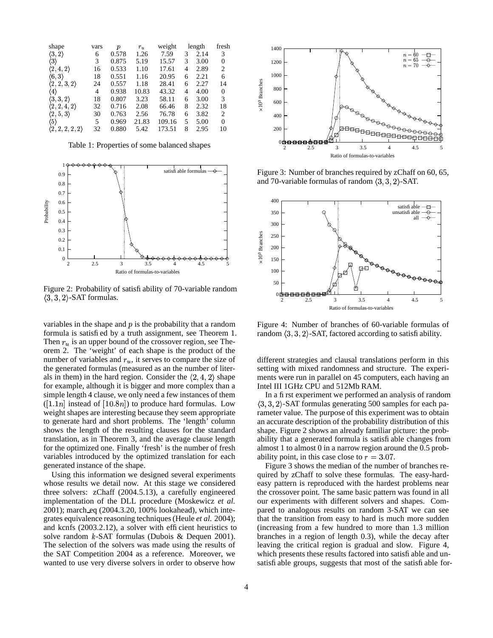| shape                           | vars | $\boldsymbol{p}$ | $r_u$ | weight |   | length | fresh    |
|---------------------------------|------|------------------|-------|--------|---|--------|----------|
| $\langle 3, 2 \rangle$          | 6    | 0.578            | 1.26  | 7.59   | 3 | 2.14   | 3        |
| $\langle 3 \rangle$             | 3    | 0.875            | 5.19  | 15.57  | 3 | 3.00   | $\theta$ |
| $\langle 2, 4, 2 \rangle$       | 16   | 0.533            | 1.10  | 17.61  | 4 | 2.89   | 2        |
| $\langle 6,3 \rangle$           | 18   | 0.551            | 1.16  | 20.95  | 6 | 2.21   | 6        |
| $\langle 2,2,3,2\rangle$        | 24   | 0.557            | 1.18  | 28.41  | 6 | 2.27   | 14       |
| (4)                             | 4    | 0.938            | 10.83 | 43.32  | 4 | 4.00   | $\theta$ |
| $\langle 3,3,2\rangle$          | 18   | 0.807            | 3.23  | 58.11  | 6 | 3.00   | 3        |
| $\langle 2, 2, 4, 2 \rangle$    | 32   | 0.716            | 2.08  | 66.46  | 8 | 2.32   | 18       |
| $\langle 2, 5, 3 \rangle$       | 30   | 0.763            | 2.56  | 76.78  | 6 | 3.82   | 2        |
| (5)                             | 5    | 0.969            | 21.83 | 109.16 | 5 | 5.00   | $\Omega$ |
| $\langle 2, 2, 2, 2, 2 \rangle$ | 32   | 0.880            | 5.42  | 173.51 | 8 | 2.95   | 10       |

Table 1: Properties of some balanced shapes



Figure 2: Probability of satisfiability of 70-variable random  $\langle 3, 3, 2 \rangle$ -SAT formulas.

variables in the shape and  $p$  is the probability that a random formula is satisfied by a truth assignment, see Theorem 1. Then  $r_u$  is an upper bound of the crossover region, see Theorem 2. The 'weight' of each shape is the product of the number of variables and  $r<sub>u</sub>$ , it serves to compare the size of the generated formulas (measured as an the number of literals in them) in the hard region. Consider the  $\langle 2, 4, 2 \rangle$  shape for example, although it is bigger and more complex than a simple length 4 clause, we only need a few instances of them  $([1.1n]$  instead of  $[10.8n])$  to produce hard formulas. Low weight shapes are interesting because they seem appropriate to generate hard and short problems. The 'length' column shows the length of the resulting clauses for the standard translation, as in Theorem 3, and the average clause length for the optimized one. Finally 'fresh' is the number of fresh variables introduced by the optimized translation for each generated instance of the shape.

Using this information we designed several experiments whose results we detail now. At this stage we considered three solvers: zChaff (2004.5.13), a carefully engineered implementation of the DLL procedure (Moskewicz *et al.* 2001); march eq (2004.3.20, 100% lookahead), which integrates equivalence reasoning techniques(Heule *et al.* 2004); and kcnfs (2003.2.12), a solver with efficient heuristics to solve random  $k$ -SAT formulas (Dubois & Dequen 2001). The selection of the solvers was made using the results of the SAT Competition 2004 as a reference. Moreover, we wanted to use very diverse solvers in order to observe how



Figure 3: Number of branches required by zChaff on 60, 65, and 70-variable formulas of random  $\langle 3, 3, 2 \rangle$ -SAT.



Figure 4: Number of branches of 60-variable formulas of random  $(3, 3, 2)$ -SAT, factored according to satisfiability.

different strategies and clausal translations perform in this setting with mixed randomness and structure. The experiments were run in parallel on 45 computers, each having an Intel III 1GHz CPU and 512Mb RAM.

In a first experiment we performed an analysis of random  $(3, 3, 2)$ -SAT formulas generating 500 samples for each parameter value. The purpose of this experiment was to obtain an accurate description of the probability distribution of this shape. Figure 2 shows an already familiar picture: the probability that a generated formula is satisfiable changes from almost 1 to almost 0 in a narrow region around the 0.5 probability point, in this case close to  $r = 3.07$ .

Figure 3 shows the median of the number of branches required by zChaff to solve these formulas. The easy-hardeasy pattern is reproduced with the hardest problems near the crossover point. The same basic pattern was found in all our experiments with different solvers and shapes. Compared to analogous results on random 3-SAT we can see that the transition from easy to hard is much more sudden (increasing from a few hundred to more than 1.3 million branches in a region of length 0.3), while the decay after leaving the critical region is gradual and slow. Figure 4, which presents these results factored into satisfiable and unsatisfiable groups, suggests that most of the satisfiable for-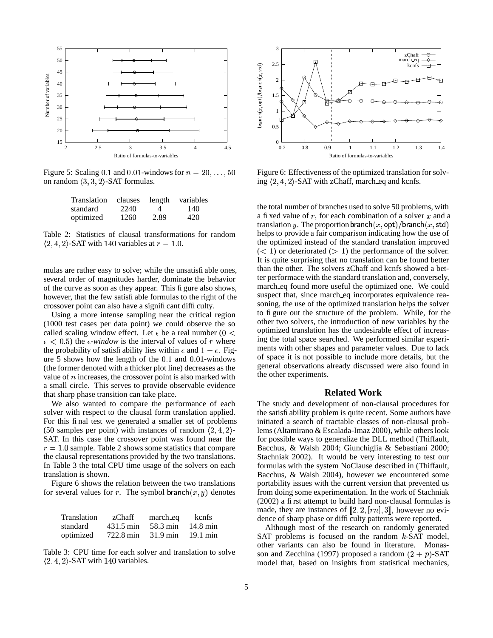

Figure 5: Scaling 0.1 and 0.01-windows for  $n = 20, \ldots, 50$ on random  $\langle 3, 3, 2 \rangle$ -SAT formulas.

| Translation | clauses | length | variables |
|-------------|---------|--------|-----------|
| standard    | 2240    | 4      | 140       |
| optimized   | 1260    | 2.89   | 420       |

Table 2: Statistics of clausal transformations for random  $\langle 2, 4, 2 \rangle$ -SAT with 140 variables at  $r = 1.0$ .

mulas are rather easy to solve; while the unsatisfiable ones, several order of magnitudes harder, dominate the behavior of the curve as soon as they appear. This figure also shows, however, that the few satisfiable formulas to the right of the crossover point can also have a significant difficulty.

Using a more intense sampling near the critical region (1000 test cases per data point) we could observe the so called scaling window effect. Let  $\epsilon$  be a real number (0 <  $\epsilon$  < 0.5) the  $\epsilon$ *-window* is the interval of values of *r* where the probability of satisfiability lies within  $\epsilon$  and  $1-\epsilon$ . Figure  $5$  shows how the length of the  $0.1$  and  $0.01$ -windows (the former denoted with a thicker plot line) decreases as the value of  $n$  increases, the crossover point is also marked with a small circle. This serves to provide observable evidence that sharp phase transition can take place.

We also wanted to compare the performance of each solver with respect to the clausal form translation applied. For this final test we generated a smaller set of problems (50 samples per point) with instances of random  $\langle 2, 4, 2 \rangle$ -SAT. In this case the crossover point was found near the  $r = 1.0$  sample. Table 2 shows some statistics that compare the clausal representations provided by the two translations. In Table 3 the total CPU time usage of the solvers on each translation is shown.

Figure 6 shows the relation between the two translations for several values for r. The symbol branch $(x, y)$  denotes

| Translation | zChaff    | march eq           | kcnfs              |
|-------------|-----------|--------------------|--------------------|
| standard    | 431.5 min | 58.3 min           | $14.8 \text{ min}$ |
| optimized   | 722.8 min | $31.9 \text{ min}$ | $19.1 \text{ min}$ |

Table 3: CPU time for each solver and translation to solve  $\langle 2, 4, 2 \rangle$ -SAT with 140 variables.



Figure 6: Effectiveness of the optimized translation for solving  $\langle 2, 4, 2 \rangle$ -SAT with zChaff, march eq and kcnfs.

the total number of branches used to solve 50 problems, with a fixed value of  $r$ , for each combination of a solver  $x$  and a translation  $y.$  The proportion branch $(x, \mathsf{opt}) / \mathsf{branch}(x, \mathsf{std})$ helps to provide a fair comparison indicating how the use of the optimized instead of the standard translation improved  $(< 1)$  or deteriorated  $(> 1)$  the performance of the solver. It is quite surprising that no translation can be found better than the other. The solvers zChaff and kcnfs showed a better performace with the standard translation and, conversely, march eq found more useful the optimized one. We could suspect that, since march eq incorporates equivalence reasoning, the use of the optimized translation helps the solver to figure out the structure of the problem. While, for the other two solvers, the introduction of new variables by the optimized translation has the undesirable effect of increasing the total space searched. We performed similar experiments with other shapes and parameter values. Due to lack of space it is not possible to include more details, but the general observations already discussed were also found in the other experiments.

#### **Related Work**

The study and development of non-clausal procedures for the satisfiability problem is quite recent. Some authors have initiated a search of tractable classes of non-clausal problems (Altamirano & Escalada-Imaz 2000), while others look for possible ways to generalize the DLL method (Thiffault, Bacchus, & Walsh 2004; Giunchiglia & Sebastiani 2000; Stachniak 2002). It would be very interesting to test our formulas with the system NoClause described in (Thiffault, Bacchus, & Walsh 2004), however we encountered some portability issues with the current version that prevented us from doing some experimentation. In the work of Stachniak (2002) a first attempt to build hard non-clausal formulas is made, they are instances of  $\llbracket 2, 2, [rn], 3 \rrbracket$ , however no evidence of sharp phase or difficulty patterns were reported.

Although most of the research on randomly generated SAT problems is focused on the random  $k$ -SAT model, other variants can also be found in literature. Monasson and Zecchina (1997) proposed a random  $(2 + p)$ -SAT model that, based on insights from statistical mechanics,